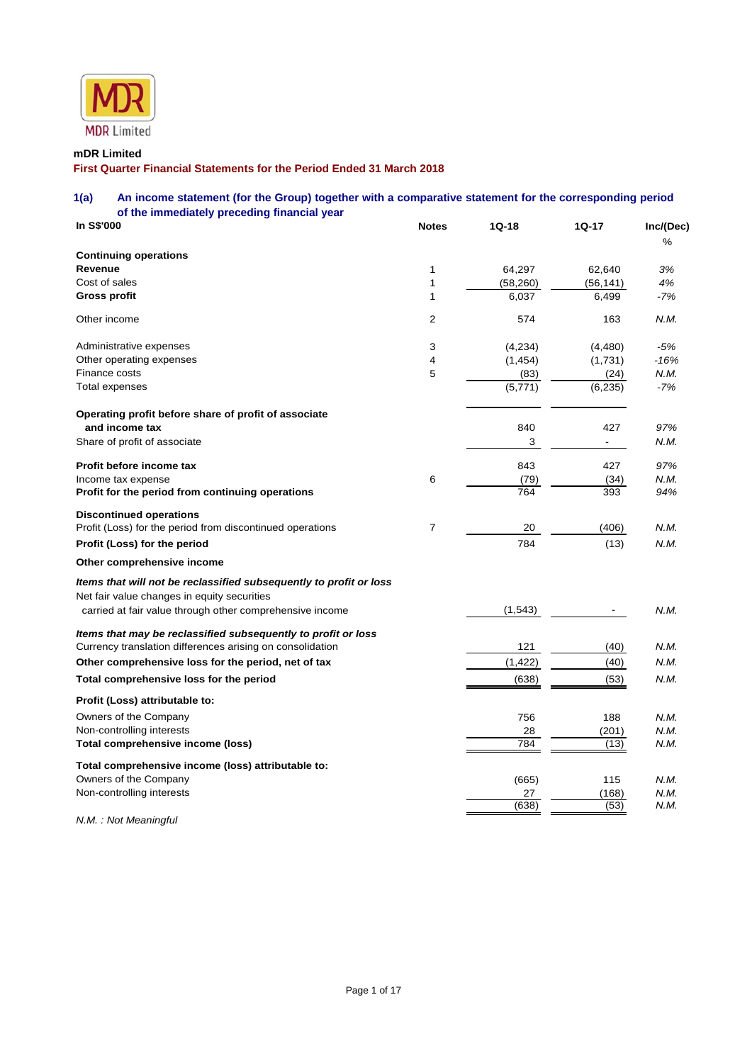

# **mDR Limited**

**First Quarter Financial Statements for the Period Ended 31 March 2018** 

# **1(a) An income statement (for the Group) together with a comparative statement for the corresponding period of the immediately preceding financial year**

| In S\$'000                                                                                                        | <b>Notes</b>   | $1Q-18$            | $1Q-17$           | Inc/(Dec)   |
|-------------------------------------------------------------------------------------------------------------------|----------------|--------------------|-------------------|-------------|
|                                                                                                                   |                |                    |                   | %           |
| <b>Continuing operations</b>                                                                                      |                |                    |                   |             |
| Revenue<br>Cost of sales                                                                                          | 1<br>1         | 64,297             | 62,640            | 3%          |
| Gross profit                                                                                                      | 1              | (58, 260)<br>6,037 | (56,141)<br>6,499 | 4%<br>$-7%$ |
|                                                                                                                   |                |                    |                   |             |
| Other income                                                                                                      | 2              | 574                | 163               | N.M.        |
| Administrative expenses                                                                                           | 3              | (4,234)            | (4, 480)          | $-5%$       |
| Other operating expenses                                                                                          | 4              | (1, 454)           | (1,731)           | $-16%$      |
| Finance costs                                                                                                     | 5              | (83)               | (24)              | N.M.        |
| Total expenses                                                                                                    |                | (5,771)            | (6, 235)          | $-7%$       |
| Operating profit before share of profit of associate                                                              |                |                    |                   |             |
| and income tax                                                                                                    |                | 840                | 427               | 97%         |
| Share of profit of associate                                                                                      |                | 3                  |                   | N.M.        |
| Profit before income tax                                                                                          |                | 843                | 427               | 97%         |
| Income tax expense                                                                                                | 6              | (79)               | (34)              | N.M.        |
| Profit for the period from continuing operations                                                                  |                | 764                | 393               | 94%         |
| <b>Discontinued operations</b>                                                                                    |                |                    |                   |             |
| Profit (Loss) for the period from discontinued operations                                                         | $\overline{7}$ | 20                 | (406)             | N.M.        |
| Profit (Loss) for the period                                                                                      |                | 784                | (13)              | N.M.        |
| Other comprehensive income                                                                                        |                |                    |                   |             |
| Items that will not be reclassified subsequently to profit or loss<br>Net fair value changes in equity securities |                |                    |                   |             |
| carried at fair value through other comprehensive income                                                          |                | (1, 543)           |                   | N.M.        |
| Items that may be reclassified subsequently to profit or loss                                                     |                |                    |                   |             |
| Currency translation differences arising on consolidation                                                         |                | 121                | (40)              | N.M.        |
| Other comprehensive loss for the period, net of tax                                                               |                | (1, 422)           | (40)              | N.M.        |
| Total comprehensive loss for the period                                                                           |                | (638)              | (53)              | N.M.        |
| Profit (Loss) attributable to:                                                                                    |                |                    |                   |             |
| Owners of the Company                                                                                             |                | 756                | 188               | N.M.        |
| Non-controlling interests                                                                                         |                | 28                 | (201)             | N.M.        |
| Total comprehensive income (loss)                                                                                 |                | 784                | (13)              | N.M.        |
| Total comprehensive income (loss) attributable to:                                                                |                |                    |                   |             |
| Owners of the Company                                                                                             |                | (665)              | 115               | N.M.        |
| Non-controlling interests                                                                                         |                | 27                 | (168)             | N.M.        |
|                                                                                                                   |                | (638)              | (53)              | N.M.        |

*N.M. : Not Meaningful*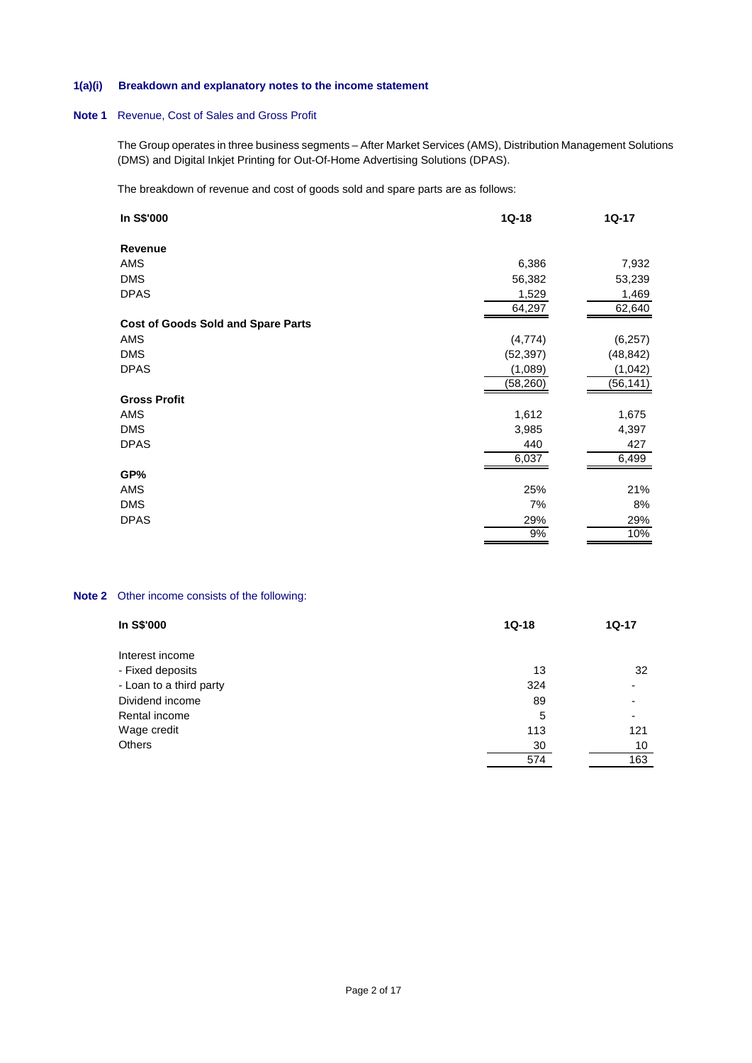# **1(a)(i) Breakdown and explanatory notes to the income statement**

# **Note 1** Revenue, Cost of Sales and Gross Profit

The Group operates in three business segments – After Market Services (AMS), Distribution Management Solutions (DMS) and Digital Inkjet Printing for Out-Of-Home Advertising Solutions (DPAS).

The breakdown of revenue and cost of goods sold and spare parts are as follows:

| In S\$'000                                | $1Q-18$   | $1Q-17$   |
|-------------------------------------------|-----------|-----------|
| Revenue                                   |           |           |
| AMS                                       | 6,386     | 7,932     |
| <b>DMS</b>                                | 56,382    | 53,239    |
| <b>DPAS</b>                               | 1,529     | 1,469     |
|                                           | 64,297    | 62,640    |
| <b>Cost of Goods Sold and Spare Parts</b> |           |           |
| <b>AMS</b>                                | (4,774)   | (6, 257)  |
| <b>DMS</b>                                | (52, 397) | (48, 842) |
| <b>DPAS</b>                               | (1,089)   | (1,042)   |
|                                           | (58, 260) | (56,141)  |
| <b>Gross Profit</b>                       |           |           |
| AMS                                       | 1,612     | 1,675     |
| <b>DMS</b>                                | 3,985     | 4,397     |
| <b>DPAS</b>                               | 440       | 427       |
|                                           | 6,037     | 6,499     |
| GP%                                       |           |           |
| AMS                                       | 25%       | 21%       |
| <b>DMS</b>                                | 7%        | 8%        |
| <b>DPAS</b>                               | 29%       | 29%       |
|                                           | 9%        | 10%       |

# **Note 2** Other income consists of the following:

| In S\$'000              | $1Q-18$ | <b>1Q-17</b>             |  |
|-------------------------|---------|--------------------------|--|
| Interest income         |         |                          |  |
| - Fixed deposits        | 13      | 32                       |  |
| - Loan to a third party | 324     | $\overline{\phantom{a}}$ |  |
| Dividend income         | 89      |                          |  |
| Rental income           | 5       |                          |  |
| Wage credit             | 113     | 121                      |  |
| <b>Others</b>           | 30      | 10                       |  |
|                         | 574     | 163                      |  |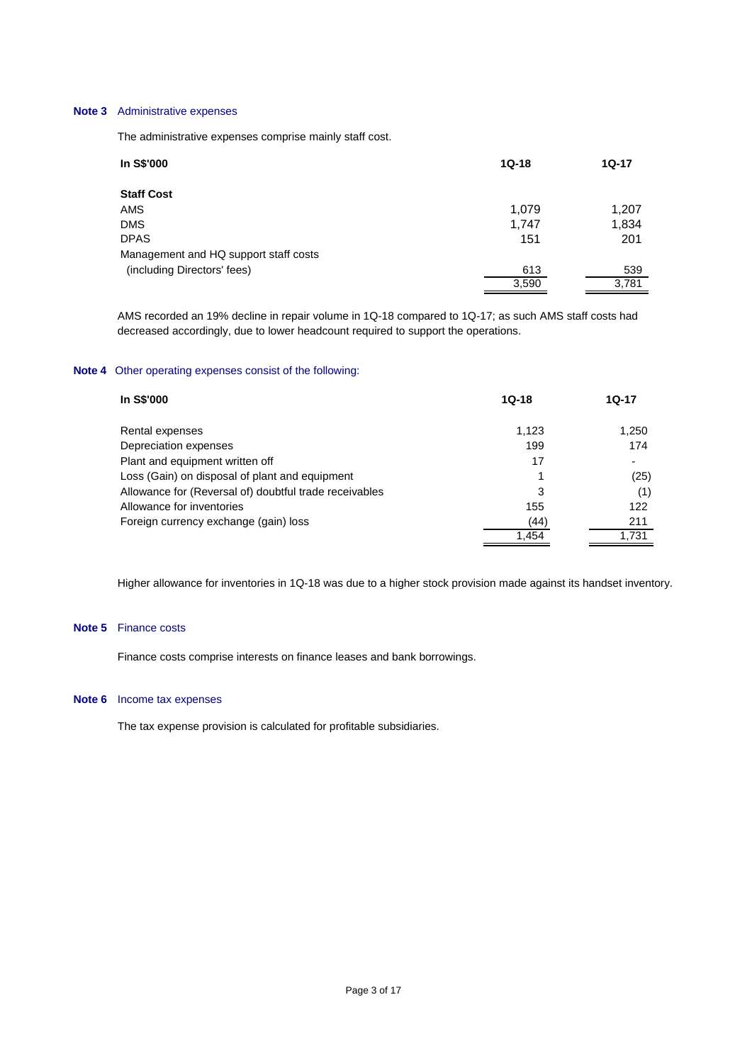# **Note 3** Administrative expenses

The administrative expenses comprise mainly staff cost.

| <b>1Q-17</b> |
|--------------|
|              |
| 1,207        |
| 1,834        |
| 201          |
|              |
| 539          |
| 3,781        |
|              |

 AMS recorded an 19% decline in repair volume in 1Q-18 compared to 1Q-17; as such AMS staff costs had decreased accordingly, due to lower headcount required to support the operations.

## **Note 4** Other operating expenses consist of the following:

| <b>In S\$'000</b>                                      | $1Q-18$ | 1Q-17 |
|--------------------------------------------------------|---------|-------|
| Rental expenses                                        | 1.123   | 1,250 |
| Depreciation expenses                                  | 199     | 174   |
| Plant and equipment written off                        | 17      |       |
| Loss (Gain) on disposal of plant and equipment         |         | (25)  |
| Allowance for (Reversal of) doubtful trade receivables | 3       | (1)   |
| Allowance for inventories                              | 155     | 122   |
| Foreign currency exchange (gain) loss                  | (44)    | 211   |
|                                                        | 1.454   | 1.731 |

Higher allowance for inventories in 1Q-18 was due to a higher stock provision made against its handset inventory.

#### **Note 5** Finance costs

Finance costs comprise interests on finance leases and bank borrowings.

### **Note 6** Income tax expenses

The tax expense provision is calculated for profitable subsidiaries.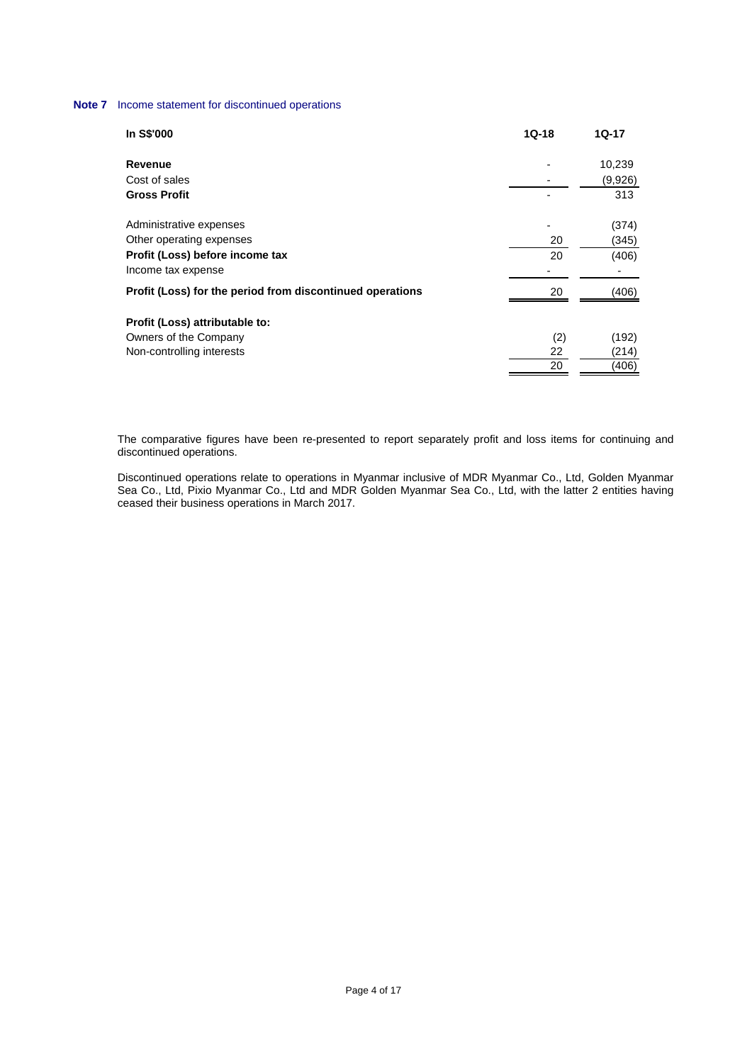# **Note 7** Income statement for discontinued operations

| In S\$'000                                                | $1Q-18$ | $1Q-17$ |
|-----------------------------------------------------------|---------|---------|
| Revenue                                                   |         | 10,239  |
| Cost of sales                                             |         | (9,926) |
| <b>Gross Profit</b>                                       |         | 313     |
| Administrative expenses                                   |         | (374)   |
| Other operating expenses                                  | 20      | (345)   |
| Profit (Loss) before income tax                           | 20      | (406)   |
| Income tax expense                                        |         |         |
| Profit (Loss) for the period from discontinued operations | 20      | (406)   |
| Profit (Loss) attributable to:                            |         |         |
| Owners of the Company                                     | (2)     | (192)   |
| Non-controlling interests                                 | 22      | (214)   |
|                                                           | 20      | (406)   |

 The comparative figures have been re-presented to report separately profit and loss items for continuing and discontinued operations.

 Discontinued operations relate to operations in Myanmar inclusive of MDR Myanmar Co., Ltd, Golden Myanmar Sea Co., Ltd, Pixio Myanmar Co., Ltd and MDR Golden Myanmar Sea Co., Ltd, with the latter 2 entities having ceased their business operations in March 2017.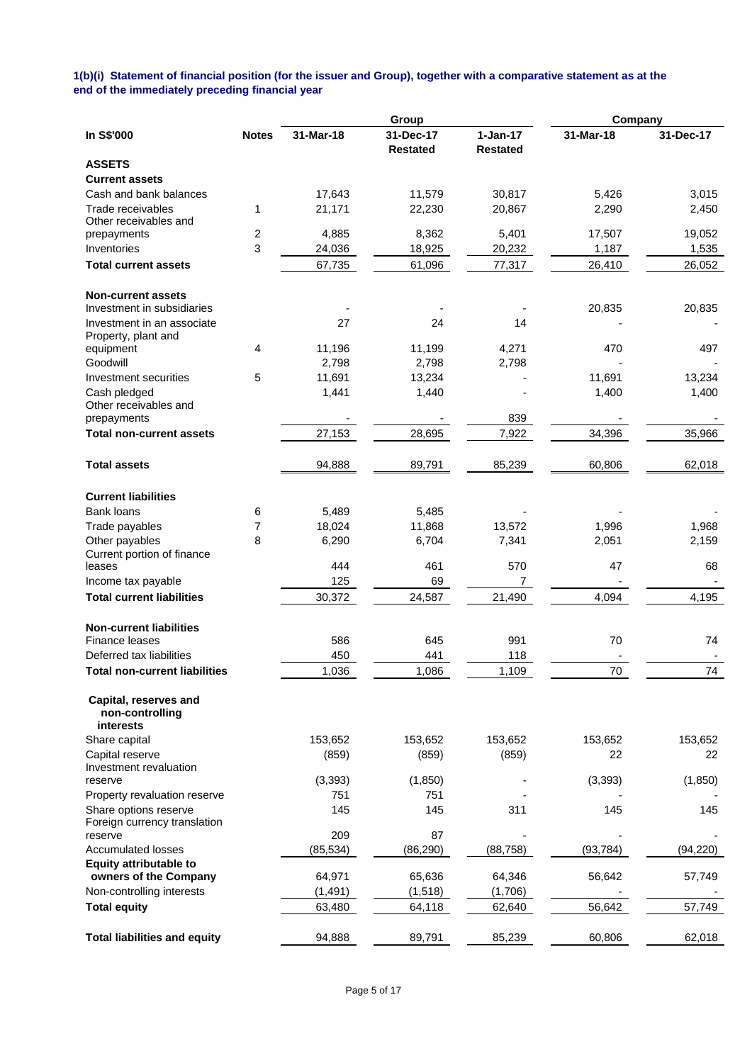### **1(b)(i) Statement of financial position (for the issuer and Group), together with a comparative statement as at the end of the immediately preceding financial year**

|                                                       |              |                 | Group                        |                               | Company         |                 |
|-------------------------------------------------------|--------------|-----------------|------------------------------|-------------------------------|-----------------|-----------------|
| In S\$'000                                            | <b>Notes</b> | 31-Mar-18       | 31-Dec-17<br><b>Restated</b> | $1-Jan-17$<br><b>Restated</b> | 31-Mar-18       | 31-Dec-17       |
| <b>ASSETS</b>                                         |              |                 |                              |                               |                 |                 |
| <b>Current assets</b>                                 |              |                 |                              |                               |                 |                 |
| Cash and bank balances                                |              | 17,643          | 11,579                       | 30,817                        | 5,426           | 3,015           |
| Trade receivables                                     | 1            | 21,171          | 22,230                       | 20,867                        | 2,290           | 2,450           |
| Other receivables and                                 |              |                 |                              |                               |                 |                 |
| prepayments<br>Inventories                            | 2<br>3       | 4,885<br>24,036 | 8,362<br>18,925              | 5,401<br>20,232               | 17,507<br>1,187 | 19,052<br>1,535 |
|                                                       |              |                 |                              |                               |                 |                 |
| <b>Total current assets</b>                           |              | 67,735          | 61,096                       | 77,317                        | 26,410          | 26,052          |
| <b>Non-current assets</b>                             |              |                 |                              |                               |                 |                 |
| Investment in subsidiaries                            |              |                 |                              |                               | 20,835          | 20,835          |
| Investment in an associate                            |              | 27              | 24                           | 14                            |                 |                 |
| Property, plant and<br>equipment                      | 4            | 11,196          | 11,199                       | 4,271                         | 470             | 497             |
| Goodwill                                              |              | 2,798           | 2,798                        | 2,798                         |                 |                 |
| Investment securities                                 | 5            | 11,691          | 13,234                       |                               | 11,691          | 13,234          |
| Cash pledged                                          |              | 1,441           | 1,440                        |                               | 1,400           | 1,400           |
| Other receivables and                                 |              |                 |                              |                               |                 |                 |
| prepayments                                           |              |                 |                              | 839                           |                 |                 |
| <b>Total non-current assets</b>                       |              | 27,153          | 28,695                       | 7,922                         | 34,396          | 35,966          |
| <b>Total assets</b>                                   |              | 94,888          | 89,791                       | 85,239                        | 60,806          | 62,018          |
| <b>Current liabilities</b>                            |              |                 |                              |                               |                 |                 |
| <b>Bank loans</b>                                     | 6            | 5,489           | 5,485                        |                               |                 |                 |
| Trade payables                                        | 7            | 18,024          | 11,868                       | 13,572                        | 1,996           | 1,968           |
| Other payables                                        | 8            | 6,290           | 6,704                        | 7,341                         | 2,051           | 2,159           |
| Current portion of finance<br>leases                  |              | 444             | 461                          | 570                           | 47              | 68              |
| Income tax payable                                    |              | 125             | 69                           | 7                             |                 |                 |
| <b>Total current liabilities</b>                      |              |                 |                              |                               | 4,094           |                 |
|                                                       |              | 30,372          | 24,587                       | 21,490                        |                 | 4,195           |
| <b>Non-current liabilities</b>                        |              |                 |                              |                               |                 |                 |
| <b>Finance leases</b>                                 |              | 586             | 645                          | 991                           | 70              | 74              |
| Deferred tax liabilities                              |              | 450             | 441                          | 118                           |                 |                 |
| <b>Total non-current liabilities</b>                  |              | 1,036           | 1,086                        | 1,109                         | 70              | 74              |
| Capital, reserves and<br>non-controlling<br>interests |              |                 |                              |                               |                 |                 |
| Share capital                                         |              | 153,652         | 153,652                      | 153,652                       | 153,652         | 153,652         |
| Capital reserve                                       |              | (859)           | (859)                        | (859)                         | 22              | 22              |
| Investment revaluation                                |              |                 |                              |                               |                 |                 |
| reserve                                               |              | (3, 393)        | (1,850)                      |                               | (3, 393)        | (1,850)         |
| Property revaluation reserve                          |              | 751             | 751                          |                               |                 |                 |
| Share options reserve<br>Foreign currency translation |              | 145             | 145                          | 311                           | 145             | 145             |
| reserve                                               |              | 209             | 87                           |                               |                 |                 |
| <b>Accumulated losses</b>                             |              | (85, 534)       | (86, 290)                    | (88, 758)                     | (93, 784)       | (94, 220)       |
| <b>Equity attributable to</b>                         |              |                 |                              |                               |                 |                 |
| owners of the Company                                 |              | 64,971          | 65,636                       | 64,346                        | 56,642          | 57,749          |
| Non-controlling interests                             |              | (1, 491)        | (1,518)                      | (1,706)                       |                 |                 |
| <b>Total equity</b>                                   |              | 63,480          | 64,118                       | 62,640                        | 56,642          | 57,749          |
| <b>Total liabilities and equity</b>                   |              | 94,888          | 89,791                       | 85,239                        | 60,806          | 62,018          |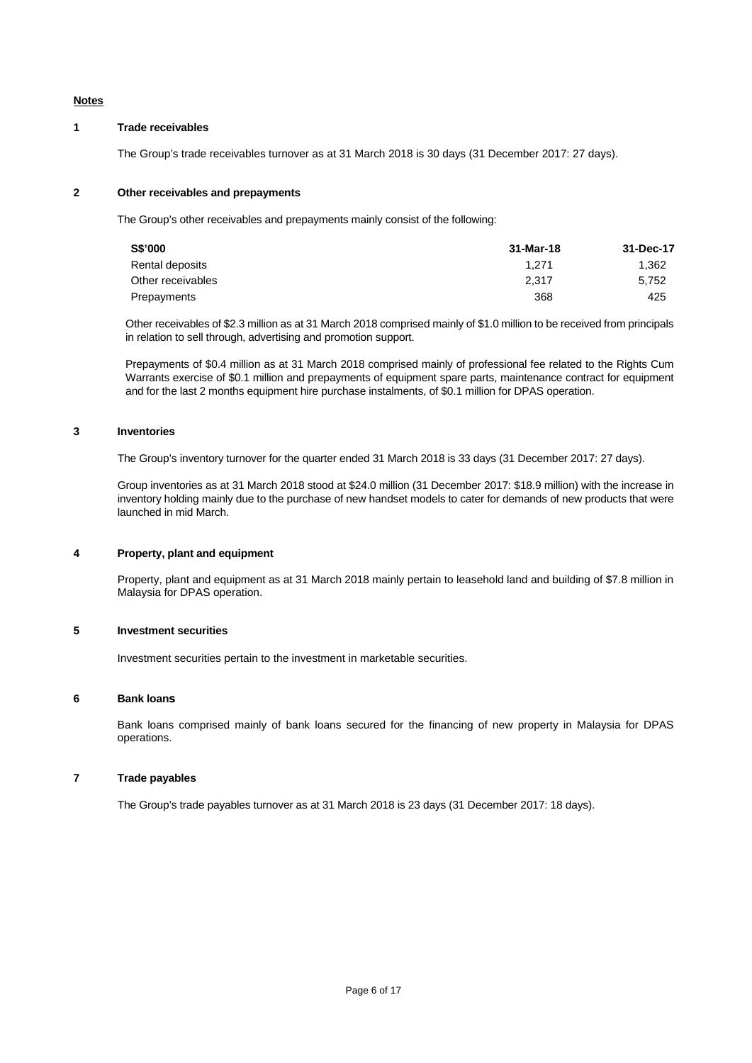## **Notes**

#### **1 Trade receivables**

The Group's trade receivables turnover as at 31 March 2018 is 30 days (31 December 2017: 27 days).

#### **2 Other receivables and prepayments**

The Group's other receivables and prepayments mainly consist of the following:

| S\$'000           | 31-Mar-18 | 31-Dec-17 |
|-------------------|-----------|-----------|
| Rental deposits   | 1.271     | 1.362     |
| Other receivables | 2.317     | 5.752     |
| Prepayments       | 368       | 425       |

Other receivables of \$2.3 million as at 31 March 2018 comprised mainly of \$1.0 million to be received from principals in relation to sell through, advertising and promotion support.

Prepayments of \$0.4 million as at 31 March 2018 comprised mainly of professional fee related to the Rights Cum Warrants exercise of \$0.1 million and prepayments of equipment spare parts, maintenance contract for equipment and for the last 2 months equipment hire purchase instalments, of \$0.1 million for DPAS operation.

## **3 Inventories**

The Group's inventory turnover for the quarter ended 31 March 2018 is 33 days (31 December 2017: 27 days).

 Group inventories as at 31 March 2018 stood at \$24.0 million (31 December 2017: \$18.9 million) with the increase in inventory holding mainly due to the purchase of new handset models to cater for demands of new products that were launched in mid March.

#### **4 Property, plant and equipment**

 Property, plant and equipment as at 31 March 2018 mainly pertain to leasehold land and building of \$7.8 million in Malaysia for DPAS operation.

### **5 Investment securities**

Investment securities pertain to the investment in marketable securities.

## **6 Bank loans**

Bank loans comprised mainly of bank loans secured for the financing of new property in Malaysia for DPAS operations.

## **7 Trade payables**

The Group's trade payables turnover as at 31 March 2018 is 23 days (31 December 2017: 18 days).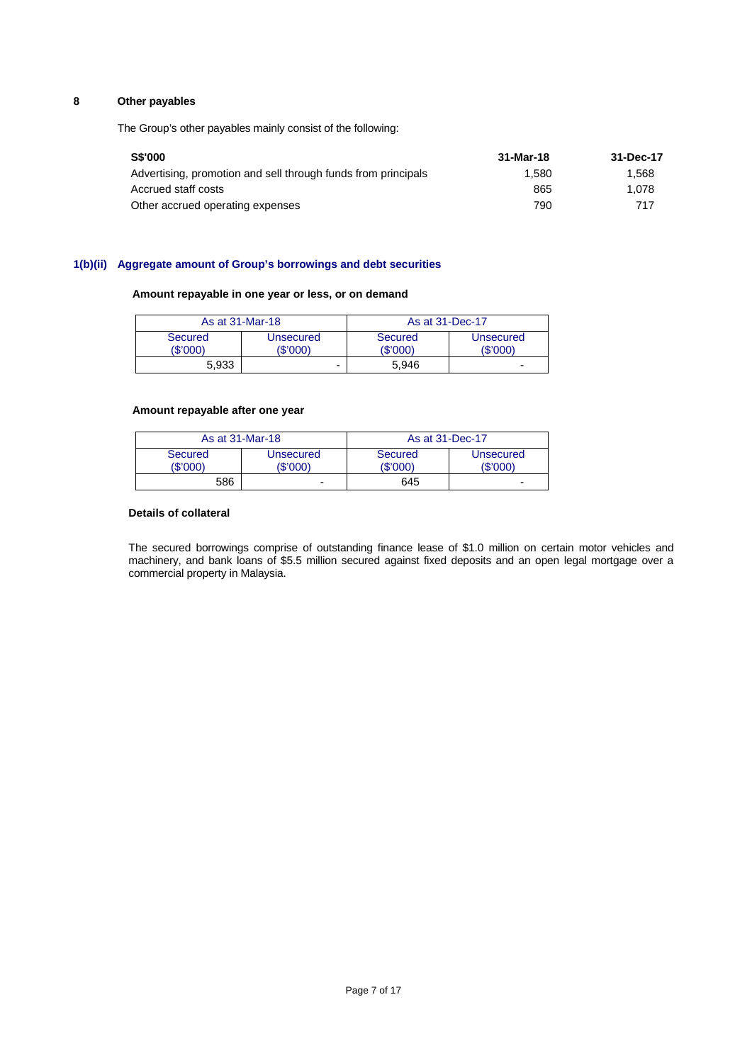# **8 Other payables**

The Group's other payables mainly consist of the following:

| <b>S\$'000</b>                                                | 31-Mar-18 | 31-Dec-17 |
|---------------------------------------------------------------|-----------|-----------|
| Advertising, promotion and sell through funds from principals | 1.580     | 1.568     |
| Accrued staff costs                                           | 865       | 1.078     |
| Other accrued operating expenses                              | 790       | 717       |

# **1(b)(ii) Aggregate amount of Group's borrowings and debt securities**

#### **Amount repayable in one year or less, or on demand**

| As at 31-Mar-18     |                       | As at 31-Dec-17     |                       |
|---------------------|-----------------------|---------------------|-----------------------|
| Secured<br>(\$'000' | Unsecured<br>(\$'000) | Secured<br>(\$'000) | Unsecured<br>(\$'000) |
| 5.933               | -                     | 5.946               | ۰                     |

### **Amount repayable after one year**

|                     | As at 31-Mar-18       | As at 31-Dec-17     |                       |
|---------------------|-----------------------|---------------------|-----------------------|
| Secured<br>(\$'000' | Unsecured<br>(\$'000) | Secured<br>(\$'000) | Unsecured<br>(\$'000) |
| 586                 |                       | 645                 | -                     |

### **Details of collateral**

The secured borrowings comprise of outstanding finance lease of \$1.0 million on certain motor vehicles and machinery, and bank loans of \$5.5 million secured against fixed deposits and an open legal mortgage over a commercial property in Malaysia.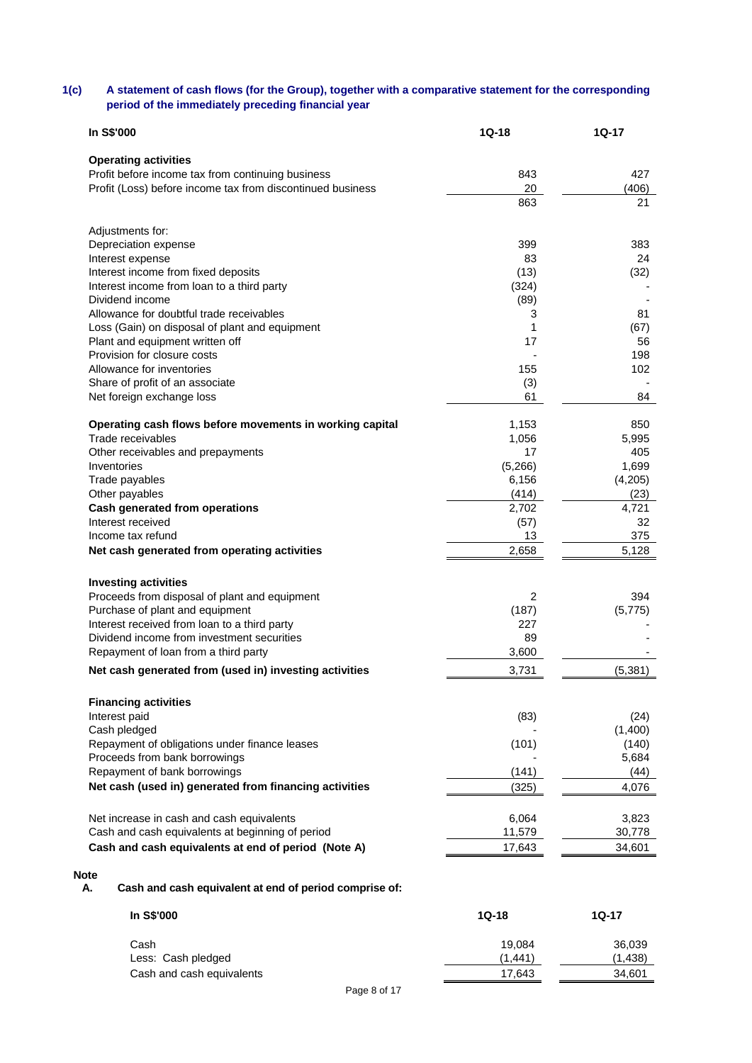# **1(c) A statement of cash flows (for the Group), together with a comparative statement for the corresponding period of the immediately preceding financial year**

| <b>In S\$'000</b>                                          | $1Q-18$        | 1Q-17    |
|------------------------------------------------------------|----------------|----------|
| <b>Operating activities</b>                                |                |          |
| Profit before income tax from continuing business          | 843            | 427      |
| Profit (Loss) before income tax from discontinued business | 20             | (406)    |
|                                                            | 863            | 21       |
| Adjustments for:                                           |                |          |
| Depreciation expense                                       | 399            | 383      |
| Interest expense                                           | 83             | 24       |
| Interest income from fixed deposits                        | (13)           | (32)     |
| Interest income from loan to a third party                 | (324)          |          |
| Dividend income                                            | (89)           |          |
| Allowance for doubtful trade receivables                   | 3              | 81       |
| Loss (Gain) on disposal of plant and equipment             | 1              | (67)     |
| Plant and equipment written off                            | 17             | 56       |
| Provision for closure costs                                |                | 198      |
| Allowance for inventories                                  | 155            | 102      |
| Share of profit of an associate                            | (3)            |          |
| Net foreign exchange loss                                  | 61             | 84       |
| Operating cash flows before movements in working capital   | 1,153          | 850      |
| Trade receivables                                          | 1,056          | 5,995    |
| Other receivables and prepayments                          | 17             | 405      |
| Inventories                                                | (5,266)        | 1,699    |
| Trade payables                                             | 6,156          | (4,205)  |
| Other payables                                             | (414)          | (23)     |
| Cash generated from operations                             | 2,702          | 4,721    |
| Interest received                                          | (57)           | 32       |
| Income tax refund                                          | 13             | 375      |
| Net cash generated from operating activities               | 2,658          | 5,128    |
| <b>Investing activities</b>                                |                |          |
| Proceeds from disposal of plant and equipment              | $\overline{2}$ | 394      |
| Purchase of plant and equipment                            | (187)          | (5, 775) |
| Interest received from loan to a third party               | 227            |          |
| Dividend income from investment securities                 | 89             |          |
| Repayment of loan from a third party                       | 3,600          |          |
| Net cash generated from (used in) investing activities     | 3,731          | (5, 381) |
|                                                            |                |          |
| <b>Financing activities</b>                                |                |          |
| Interest paid                                              | (83)           | (24)     |
| Cash pledged                                               |                | (1,400)  |
| Repayment of obligations under finance leases              | (101)          | (140)    |
| Proceeds from bank borrowings                              |                | 5,684    |
| Repayment of bank borrowings                               | (141)          | (44)     |
| Net cash (used in) generated from financing activities     | (325)          | 4,076    |
| Net increase in cash and cash equivalents                  | 6,064          | 3,823    |
| Cash and cash equivalents at beginning of period           | 11,579         | 30,778   |
| Cash and cash equivalents at end of period (Note A)        | 17,643         | 34,601   |
|                                                            |                |          |

**A. Cash and cash equivalent at end of period comprise of:** 

| In S\$'000                | $1Q-18$      | $1Q-17$ |
|---------------------------|--------------|---------|
| Cash                      | 19.084       | 36,039  |
| Less: Cash pledged        | (1.441)      | (1,438) |
| Cash and cash equivalents | 17.643       | 34,601  |
|                           | Page 8 of 17 |         |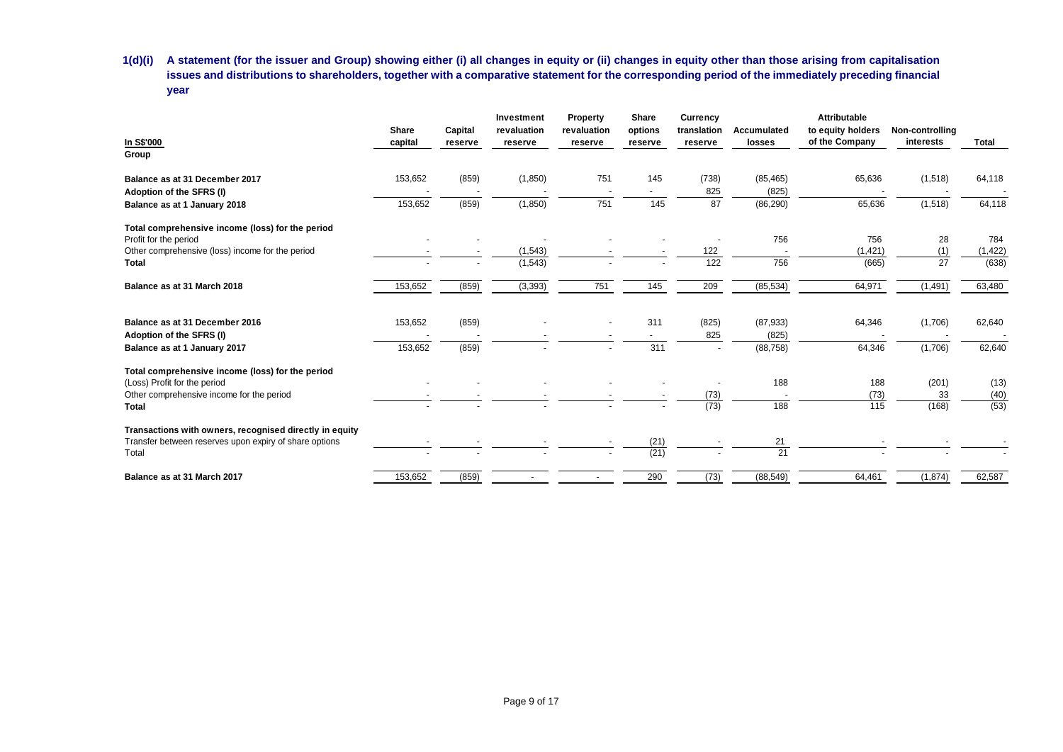**1(d)(i) A statement (for the issuer and Group) showing either (i) all changes in equity or (ii) changes in equity other than those arising from capitalisation issues and distributions to shareholders, together with a comparative statement for the corresponding period of the immediately preceding financial year** 

| In S\$'000<br>Group                                     | Share<br>capital | Capital<br>reserve | Investment<br>revaluation<br>reserve | Property<br>revaluation<br>reserve | <b>Share</b><br>options<br>reserve | Currency<br>translation<br>reserve | Accumulated<br>losses | <b>Attributable</b><br>to equity holders<br>of the Company | Non-controlling<br>interests | Total    |
|---------------------------------------------------------|------------------|--------------------|--------------------------------------|------------------------------------|------------------------------------|------------------------------------|-----------------------|------------------------------------------------------------|------------------------------|----------|
| Balance as at 31 December 2017                          | 153,652          | (859)              | (1, 850)                             | 751                                | 145                                | (738)                              | (85, 465)             | 65,636                                                     | (1,518)                      | 64,118   |
| Adoption of the SFRS (I)                                |                  |                    |                                      |                                    |                                    | 825                                | (825)                 |                                                            |                              |          |
| Balance as at 1 January 2018                            | 153,652          | (859)              | (1, 850)                             | 751                                | 145                                | 87                                 | (86, 290)             | 65,636                                                     | (1, 518)                     | 64,118   |
| Total comprehensive income (loss) for the period        |                  |                    |                                      |                                    |                                    |                                    |                       |                                                            |                              |          |
| Profit for the period                                   |                  |                    |                                      |                                    |                                    |                                    | 756                   | 756                                                        | 28                           | 784      |
| Other comprehensive (loss) income for the period        |                  |                    | (1, 543)                             |                                    |                                    | 122                                |                       | (1, 421)                                                   | (1)                          | (1, 422) |
| Total                                                   |                  |                    | (1, 543)                             |                                    |                                    | 122                                | 756                   | (665)                                                      | 27                           | (638)    |
| Balance as at 31 March 2018                             | 153,652          | (859)              | (3, 393)                             | 751                                | 145                                | 209                                | (85, 534)             | 64,971                                                     | (1, 491)                     | 63,480   |
| Balance as at 31 December 2016                          | 153,652          | (859)              |                                      |                                    | 311                                | (825)                              | (87, 933)             | 64,346                                                     | (1,706)                      | 62,640   |
| Adoption of the SFRS (I)                                |                  |                    |                                      |                                    |                                    | 825                                | (825)                 |                                                            |                              |          |
| Balance as at 1 January 2017                            | 153,652          | (859)              |                                      |                                    | 311                                | $\overline{\phantom{a}}$           | (88, 758)             | 64,346                                                     | (1,706)                      | 62,640   |
| Total comprehensive income (loss) for the period        |                  |                    |                                      |                                    |                                    |                                    |                       |                                                            |                              |          |
| (Loss) Profit for the period                            |                  |                    |                                      |                                    |                                    |                                    | 188                   | 188                                                        | (201)                        | (13)     |
| Other comprehensive income for the period               |                  |                    |                                      |                                    |                                    | (73)                               |                       | (73)                                                       | 33                           | (40)     |
| Total                                                   |                  |                    |                                      |                                    |                                    | (73)                               | 188                   | 115                                                        | (168)                        | (53)     |
| Transactions with owners, recognised directly in equity |                  |                    |                                      |                                    |                                    |                                    |                       |                                                            |                              |          |
| Transfer between reserves upon expiry of share options  |                  |                    |                                      |                                    | (21)                               |                                    | 21                    |                                                            |                              |          |
| Total                                                   |                  |                    |                                      |                                    | (21)                               |                                    | 21                    |                                                            |                              |          |
| Balance as at 31 March 2017                             | 153,652          | (859)              |                                      | $\blacksquare$                     | 290                                | (73)                               | (88, 549)             | 64,461                                                     | (1, 874)                     | 62,587   |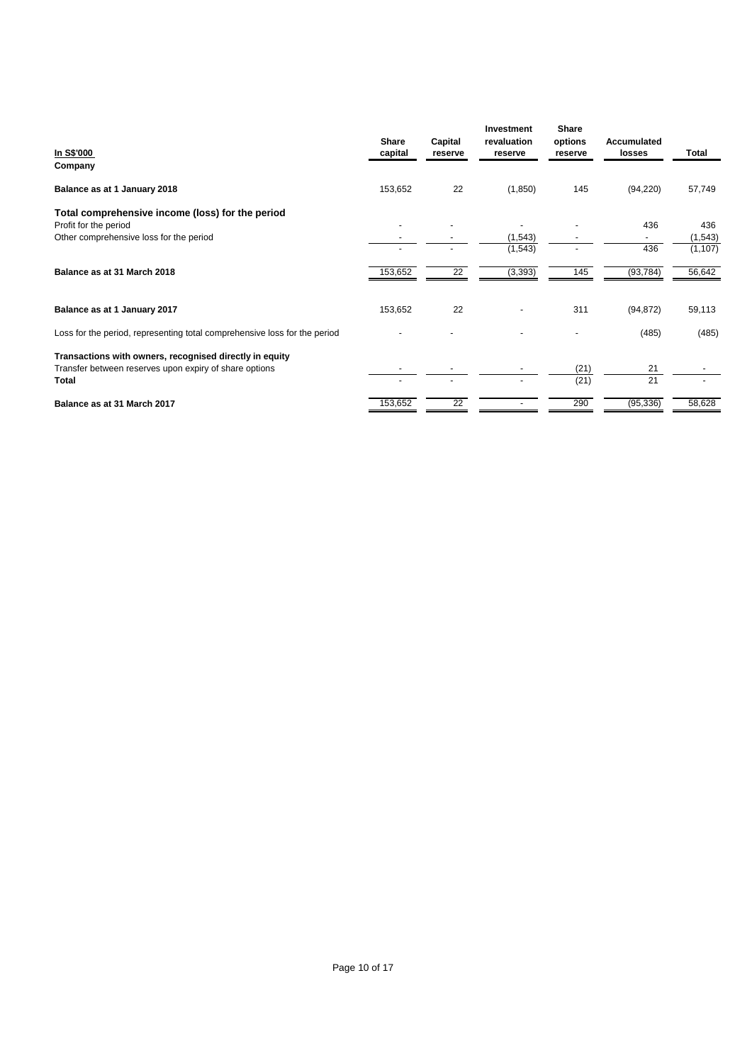| In S\$'000<br>Company                                                     | Share<br>capital | Capital<br>reserve | Investment<br>revaluation<br>reserve | Share<br>options<br>reserve | Accumulated<br>losses | Total    |
|---------------------------------------------------------------------------|------------------|--------------------|--------------------------------------|-----------------------------|-----------------------|----------|
| Balance as at 1 January 2018                                              | 153,652          | 22                 | (1,850)                              | 145                         | (94, 220)             | 57,749   |
| Total comprehensive income (loss) for the period                          |                  |                    |                                      |                             |                       |          |
| Profit for the period                                                     |                  |                    |                                      |                             | 436                   | 436      |
| Other comprehensive loss for the period                                   |                  |                    | (1,543)                              |                             |                       | (1, 543) |
|                                                                           |                  |                    | (1, 543)                             |                             | 436                   | (1, 107) |
| Balance as at 31 March 2018                                               | 153,652          | $\overline{22}$    | (3, 393)                             | 145                         | (93, 784)             | 56,642   |
| Balance as at 1 January 2017                                              | 153,652          | 22                 |                                      | 311                         | (94, 872)             | 59,113   |
| Loss for the period, representing total comprehensive loss for the period |                  |                    |                                      |                             | (485)                 | (485)    |
| Transactions with owners, recognised directly in equity                   |                  |                    |                                      |                             |                       |          |
| Transfer between reserves upon expiry of share options                    |                  |                    |                                      | (21)                        | 21                    |          |
| Total                                                                     |                  |                    |                                      | (21)                        | 21                    |          |
| Balance as at 31 March 2017                                               | 153,652          | 22                 |                                      | 290                         | (95, 336)             | 58,628   |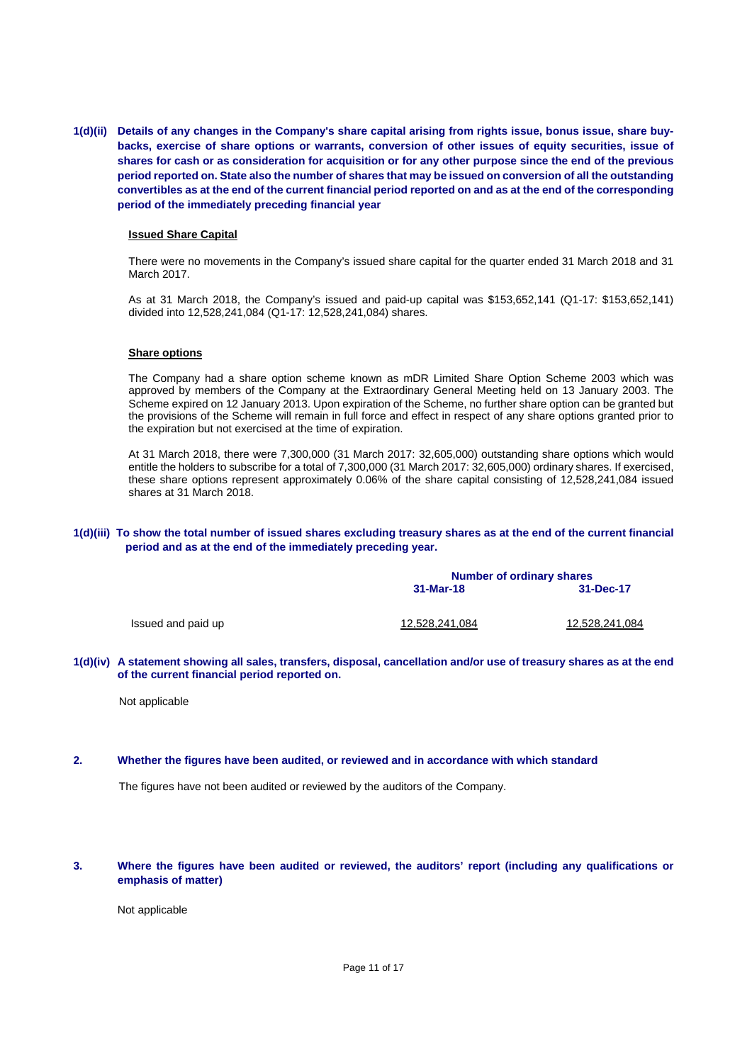**1(d)(ii) Details of any changes in the Company's share capital arising from rights issue, bonus issue, share buybacks, exercise of share options or warrants, conversion of other issues of equity securities, issue of shares for cash or as consideration for acquisition or for any other purpose since the end of the previous period reported on. State also the number of shares that may be issued on conversion of all the outstanding convertibles as at the end of the current financial period reported on and as at the end of the corresponding period of the immediately preceding financial year** 

#### **Issued Share Capital**

There were no movements in the Company's issued share capital for the quarter ended 31 March 2018 and 31 March 2017.

As at 31 March 2018, the Company's issued and paid-up capital was \$153,652,141 (Q1-17: \$153,652,141) divided into 12,528,241,084 (Q1-17: 12,528,241,084) shares.

#### **Share options**

The Company had a share option scheme known as mDR Limited Share Option Scheme 2003 which was approved by members of the Company at the Extraordinary General Meeting held on 13 January 2003. The Scheme expired on 12 January 2013. Upon expiration of the Scheme, no further share option can be granted but the provisions of the Scheme will remain in full force and effect in respect of any share options granted prior to the expiration but not exercised at the time of expiration.

At 31 March 2018, there were 7,300,000 (31 March 2017: 32,605,000) outstanding share options which would entitle the holders to subscribe for a total of 7,300,000 (31 March 2017: 32,605,000) ordinary shares. If exercised, these share options represent approximately 0.06% of the share capital consisting of 12,528,241,084 issued shares at 31 March 2018.

### **1(d)(iii) To show the total number of issued shares excluding treasury shares as at the end of the current financial period and as at the end of the immediately preceding year.**

|                    | <b>Number of ordinary shares</b> |                |  |  |
|--------------------|----------------------------------|----------------|--|--|
|                    | 31-Mar-18                        | 31-Dec-17      |  |  |
| Issued and paid up | 12,528,241,084                   | 12,528,241,084 |  |  |

**1(d)(iv) A statement showing all sales, transfers, disposal, cancellation and/or use of treasury shares as at the end of the current financial period reported on.** 

Not applicable

#### **2. Whether the figures have been audited, or reviewed and in accordance with which standard**

The figures have not been audited or reviewed by the auditors of the Company.

#### **3. Where the figures have been audited or reviewed, the auditors' report (including any qualifications or emphasis of matter)**

Not applicable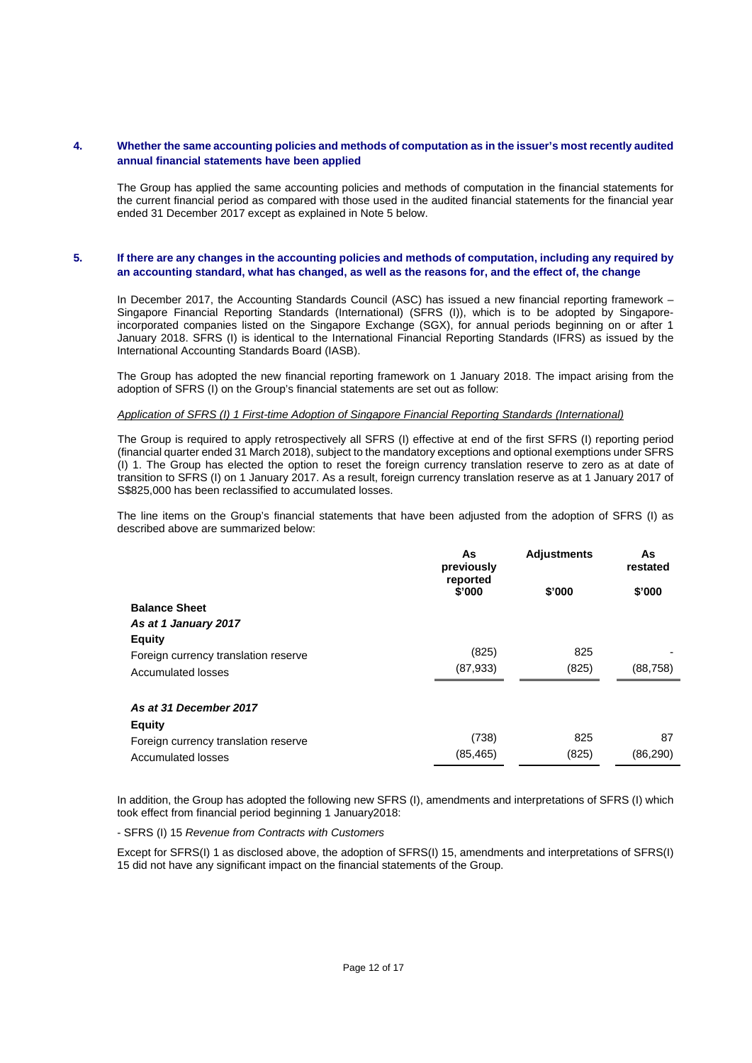## **4. Whether the same accounting policies and methods of computation as in the issuer's most recently audited annual financial statements have been applied**

The Group has applied the same accounting policies and methods of computation in the financial statements for the current financial period as compared with those used in the audited financial statements for the financial year ended 31 December 2017 except as explained in Note 5 below.

# **5. If there are any changes in the accounting policies and methods of computation, including any required by an accounting standard, what has changed, as well as the reasons for, and the effect of, the change**

In December 2017, the Accounting Standards Council (ASC) has issued a new financial reporting framework – Singapore Financial Reporting Standards (International) (SFRS (I)), which is to be adopted by Singaporeincorporated companies listed on the Singapore Exchange (SGX), for annual periods beginning on or after 1 January 2018. SFRS (I) is identical to the International Financial Reporting Standards (IFRS) as issued by the International Accounting Standards Board (IASB).

The Group has adopted the new financial reporting framework on 1 January 2018. The impact arising from the adoption of SFRS (I) on the Group's financial statements are set out as follow:

#### *Application of SFRS (I) 1 First-time Adoption of Singapore Financial Reporting Standards (International)*

The Group is required to apply retrospectively all SFRS (I) effective at end of the first SFRS (I) reporting period (financial quarter ended 31 March 2018), subject to the mandatory exceptions and optional exemptions under SFRS (I) 1. The Group has elected the option to reset the foreign currency translation reserve to zero as at date of transition to SFRS (I) on 1 January 2017. As a result, foreign currency translation reserve as at 1 January 2017 of S\$825,000 has been reclassified to accumulated losses.

The line items on the Group's financial statements that have been adjusted from the adoption of SFRS (I) as described above are summarized below:

|                                      | As<br>previously<br>reported | <b>Adjustments</b> | As<br>restated |
|--------------------------------------|------------------------------|--------------------|----------------|
|                                      | \$'000                       | \$'000             | \$'000         |
| <b>Balance Sheet</b>                 |                              |                    |                |
| As at 1 January 2017                 |                              |                    |                |
| <b>Equity</b>                        |                              |                    |                |
| Foreign currency translation reserve | (825)                        | 825                |                |
| <b>Accumulated losses</b>            | (87,933)                     | (825)              | (88,758)       |
| As at 31 December 2017               |                              |                    |                |
| <b>Equity</b>                        |                              |                    |                |
| Foreign currency translation reserve | (738)                        | 825                | 87             |
| <b>Accumulated losses</b>            | (85, 465)                    | (825)              | (86,290)       |

In addition, the Group has adopted the following new SFRS (I), amendments and interpretations of SFRS (I) which took effect from financial period beginning 1 January2018:

- SFRS (I) 15 *Revenue from Contracts with Customers* 

Except for SFRS(I) 1 as disclosed above, the adoption of SFRS(I) 15, amendments and interpretations of SFRS(I) 15 did not have any significant impact on the financial statements of the Group.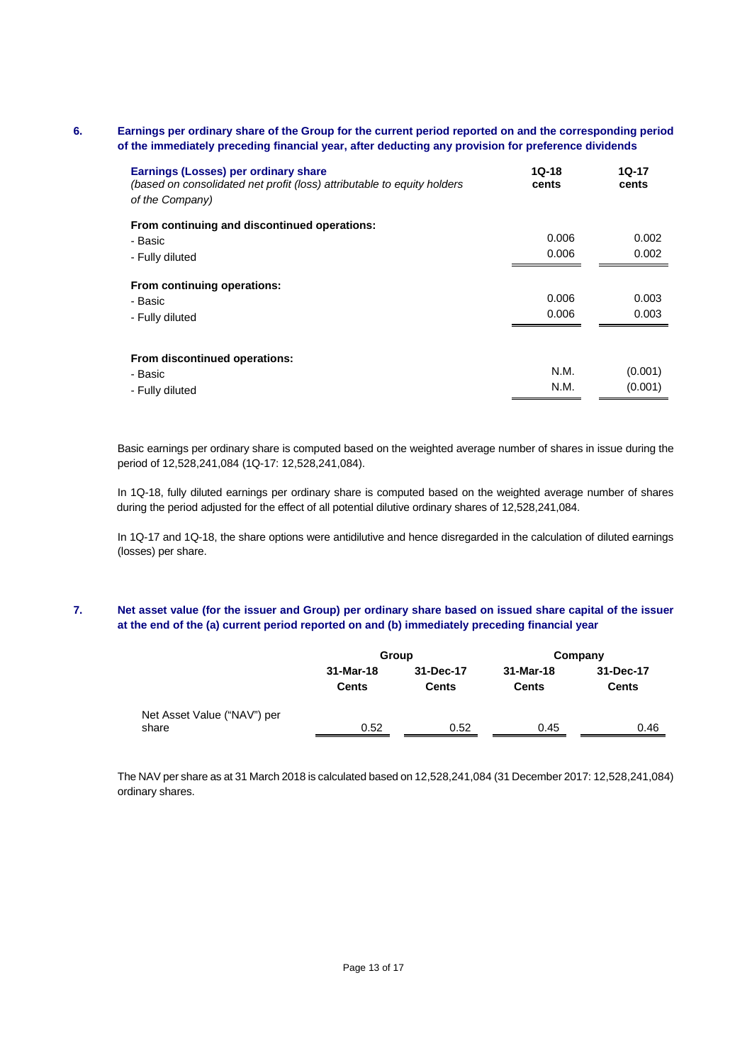# **6. Earnings per ordinary share of the Group for the current period reported on and the corresponding period of the immediately preceding financial year, after deducting any provision for preference dividends**

| Earnings (Losses) per ordinary share<br>(based on consolidated net profit (loss) attributable to equity holders<br>of the Company) | $10 - 18$<br>cents | 1Q-17<br>cents |
|------------------------------------------------------------------------------------------------------------------------------------|--------------------|----------------|
| From continuing and discontinued operations:                                                                                       |                    |                |
| - Basic                                                                                                                            | 0.006              | 0.002          |
| - Fully diluted                                                                                                                    | 0.006              | 0.002          |
| From continuing operations:<br>- Basic<br>- Fully diluted                                                                          | 0.006<br>0.006     | 0.003<br>0.003 |
|                                                                                                                                    |                    |                |
| From discontinued operations:                                                                                                      |                    |                |
| - Basic                                                                                                                            | N.M.               | (0.001)        |
| - Fully diluted                                                                                                                    | N.M.               | (0.001)        |

Basic earnings per ordinary share is computed based on the weighted average number of shares in issue during the period of 12,528,241,084 (1Q-17: 12,528,241,084).

 In 1Q-18, fully diluted earnings per ordinary share is computed based on the weighted average number of shares during the period adjusted for the effect of all potential dilutive ordinary shares of 12,528,241,084.

In 1Q-17 and 1Q-18, the share options were antidilutive and hence disregarded in the calculation of diluted earnings (losses) per share.

# **7. Net asset value (for the issuer and Group) per ordinary share based on issued share capital of the issuer at the end of the (a) current period reported on and (b) immediately preceding financial year**

|                             | Group        |              | Company   |              |  |
|-----------------------------|--------------|--------------|-----------|--------------|--|
|                             | 31-Mar-18    | 31-Dec-17    | 31-Mar-18 | 31-Dec-17    |  |
|                             | <b>Cents</b> | <b>Cents</b> | Cents     | <b>Cents</b> |  |
| Net Asset Value ("NAV") per |              |              |           |              |  |
| share                       | 0.52         | 0.52         | 0.45      | 0.46         |  |

The NAV per share as at 31 March 2018 is calculated based on 12,528,241,084 (31 December 2017: 12,528,241,084) ordinary shares.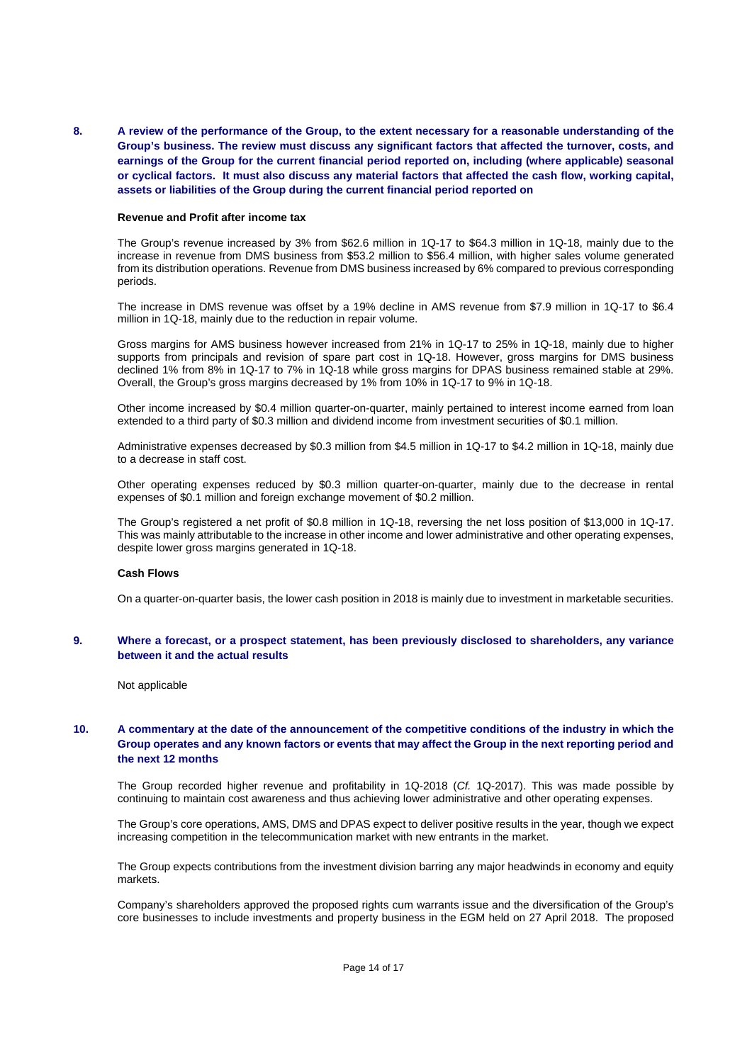**8. A review of the performance of the Group, to the extent necessary for a reasonable understanding of the Group's business. The review must discuss any significant factors that affected the turnover, costs, and earnings of the Group for the current financial period reported on, including (where applicable) seasonal or cyclical factors. It must also discuss any material factors that affected the cash flow, working capital, assets or liabilities of the Group during the current financial period reported on** 

#### **Revenue and Profit after income tax**

The Group's revenue increased by 3% from \$62.6 million in 1Q-17 to \$64.3 million in 1Q-18, mainly due to the increase in revenue from DMS business from \$53.2 million to \$56.4 million, with higher sales volume generated from its distribution operations. Revenue from DMS business increased by 6% compared to previous corresponding periods.

The increase in DMS revenue was offset by a 19% decline in AMS revenue from \$7.9 million in 1Q-17 to \$6.4 million in 1Q-18, mainly due to the reduction in repair volume.

Gross margins for AMS business however increased from 21% in 1Q-17 to 25% in 1Q-18, mainly due to higher supports from principals and revision of spare part cost in 1Q-18. However, gross margins for DMS business declined 1% from 8% in 1Q-17 to 7% in 1Q-18 while gross margins for DPAS business remained stable at 29%. Overall, the Group's gross margins decreased by 1% from 10% in 1Q-17 to 9% in 1Q-18.

Other income increased by \$0.4 million quarter-on-quarter, mainly pertained to interest income earned from loan extended to a third party of \$0.3 million and dividend income from investment securities of \$0.1 million.

Administrative expenses decreased by \$0.3 million from \$4.5 million in 1Q-17 to \$4.2 million in 1Q-18, mainly due to a decrease in staff cost.

Other operating expenses reduced by \$0.3 million quarter-on-quarter, mainly due to the decrease in rental expenses of \$0.1 million and foreign exchange movement of \$0.2 million.

The Group's registered a net profit of \$0.8 million in 1Q-18, reversing the net loss position of \$13,000 in 1Q-17. This was mainly attributable to the increase in other income and lower administrative and other operating expenses, despite lower gross margins generated in 1Q-18.

#### **Cash Flows**

On a quarter-on-quarter basis, the lower cash position in 2018 is mainly due to investment in marketable securities.

### **9. Where a forecast, or a prospect statement, has been previously disclosed to shareholders, any variance between it and the actual results**

Not applicable

### **10. A commentary at the date of the announcement of the competitive conditions of the industry in which the Group operates and any known factors or events that may affect the Group in the next reporting period and the next 12 months**

The Group recorded higher revenue and profitability in 1Q-2018 (*Cf.* 1Q-2017). This was made possible by continuing to maintain cost awareness and thus achieving lower administrative and other operating expenses.

The Group's core operations, AMS, DMS and DPAS expect to deliver positive results in the year, though we expect increasing competition in the telecommunication market with new entrants in the market.

The Group expects contributions from the investment division barring any major headwinds in economy and equity markets.

 Company's shareholders approved the proposed rights cum warrants issue and the diversification of the Group's core businesses to include investments and property business in the EGM held on 27 April 2018. The proposed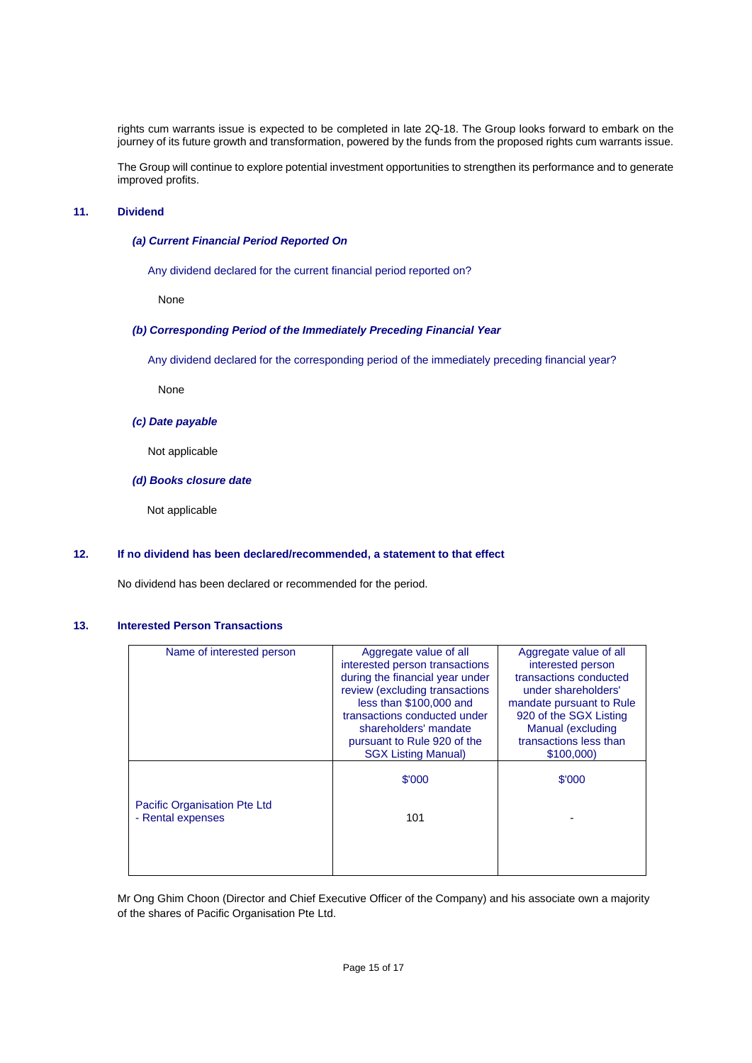rights cum warrants issue is expected to be completed in late 2Q-18. The Group looks forward to embark on the journey of its future growth and transformation, powered by the funds from the proposed rights cum warrants issue.

 The Group will continue to explore potential investment opportunities to strengthen its performance and to generate improved profits.

## **11. Dividend**

### *(a) Current Financial Period Reported On*

Any dividend declared for the current financial period reported on?

None

### *(b) Corresponding Period of the Immediately Preceding Financial Year*

Any dividend declared for the corresponding period of the immediately preceding financial year?

None

# *(c) Date payable*

Not applicable

### *(d) Books closure date*

Not applicable

## **12. If no dividend has been declared/recommended, a statement to that effect**

No dividend has been declared or recommended for the period.

### **13. Interested Person Transactions**

| Name of interested person    | Aggregate value of all          | Aggregate value of all   |
|------------------------------|---------------------------------|--------------------------|
|                              | interested person transactions  | interested person        |
|                              | during the financial year under | transactions conducted   |
|                              | review (excluding transactions  | under shareholders'      |
|                              | less than \$100,000 and         | mandate pursuant to Rule |
|                              | transactions conducted under    | 920 of the SGX Listing   |
|                              | shareholders' mandate           | Manual (excluding        |
|                              | pursuant to Rule 920 of the     | transactions less than   |
|                              | <b>SGX Listing Manual)</b>      | \$100,000)               |
|                              |                                 |                          |
|                              | \$'000                          | \$'000                   |
| Pacific Organisation Pte Ltd |                                 |                          |
| - Rental expenses            | 101                             |                          |
|                              |                                 |                          |
|                              |                                 |                          |
|                              |                                 |                          |
|                              |                                 |                          |

Mr Ong Ghim Choon (Director and Chief Executive Officer of the Company) and his associate own a majority of the shares of Pacific Organisation Pte Ltd.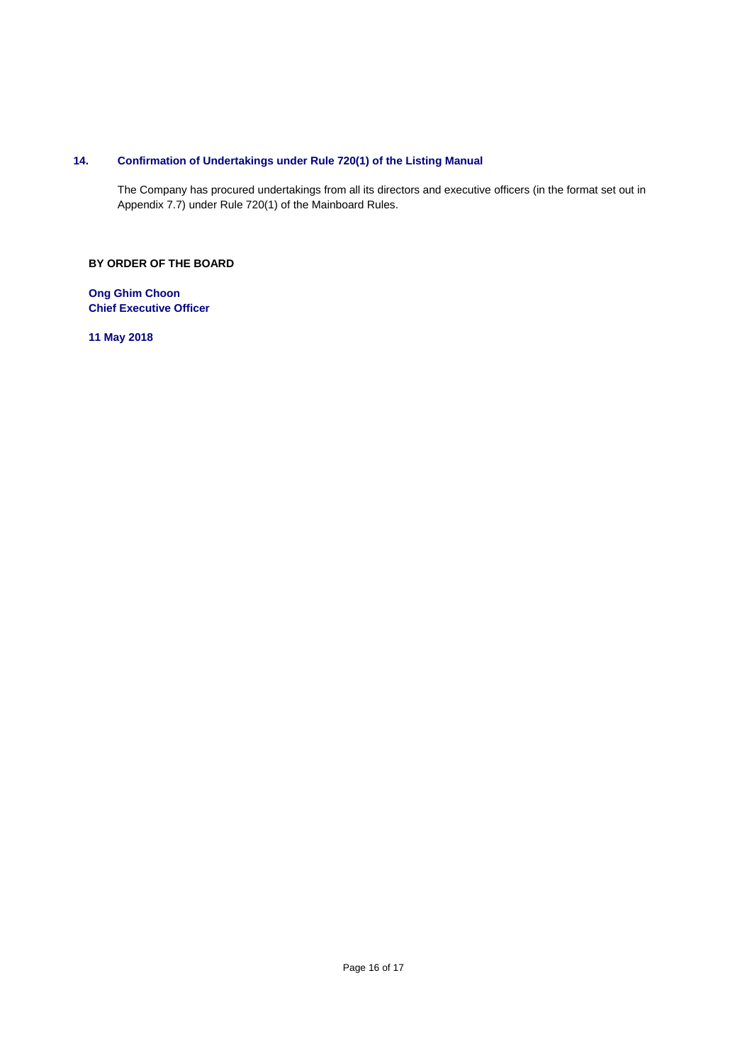# **14. Confirmation of Undertakings under Rule 720(1) of the Listing Manual**

The Company has procured undertakings from all its directors and executive officers (in the format set out in Appendix 7.7) under Rule 720(1) of the Mainboard Rules.

# **BY ORDER OF THE BOARD**

**Ong Ghim Choon Chief Executive Officer** 

**11 May 2018**